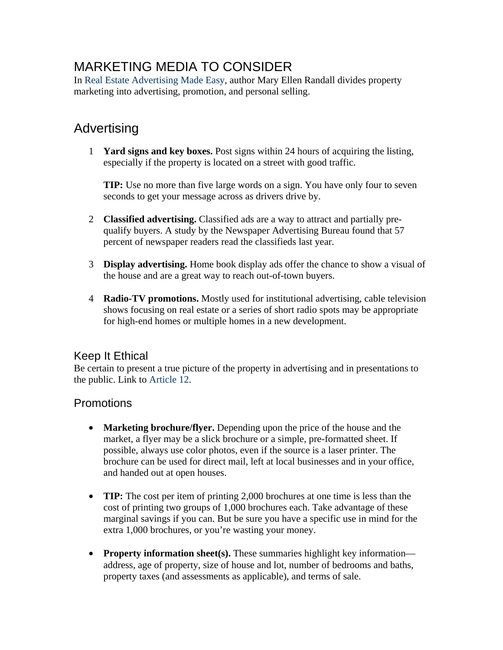# MARKETING MEDIA TO CONSIDER

In Real Estate Advertising Made Easy, author Mary Ellen Randall divides property marketing into advertising, promotion, and personal selling.

## Advertising

1 **Yard signs and key boxes.** Post signs within 24 hours of acquiring the listing, especially if the property is located on a street with good traffic.

**TIP:** Use no more than five large words on a sign. You have only four to seven seconds to get your message across as drivers drive by.

- 2 **Classified advertising.** Classified ads are a way to attract and partially prequalify buyers. A study by the Newspaper Advertising Bureau found that 57 percent of newspaper readers read the classifieds last year.
- 3 **Display advertising.** Home book display ads offer the chance to show a visual of the house and are a great way to reach out-of-town buyers.
- 4 **Radio-TV promotions.** Mostly used for institutional advertising, cable television shows focusing on real estate or a series of short radio spots may be appropriate for high-end homes or multiple homes in a new development.

#### Keep It Ethical

Be certain to present a true picture of the property in advertising and in presentations to the public. Link to Article 12.

### **Promotions**

- **Marketing brochure/flyer.** Depending upon the price of the house and the market, a flyer may be a slick brochure or a simple, pre-formatted sheet. If possible, always use color photos, even if the source is a laser printer. The brochure can be used for direct mail, left at local businesses and in your office, and handed out at open houses.
- **TIP:** The cost per item of printing 2,000 brochures at one time is less than the cost of printing two groups of 1,000 brochures each. Take advantage of these marginal savings if you can. But be sure you have a specific use in mind for the extra 1,000 brochures, or you're wasting your money.
- **Property information sheet(s).** These summaries highlight key information address, age of property, size of house and lot, number of bedrooms and baths, property taxes (and assessments as applicable), and terms of sale.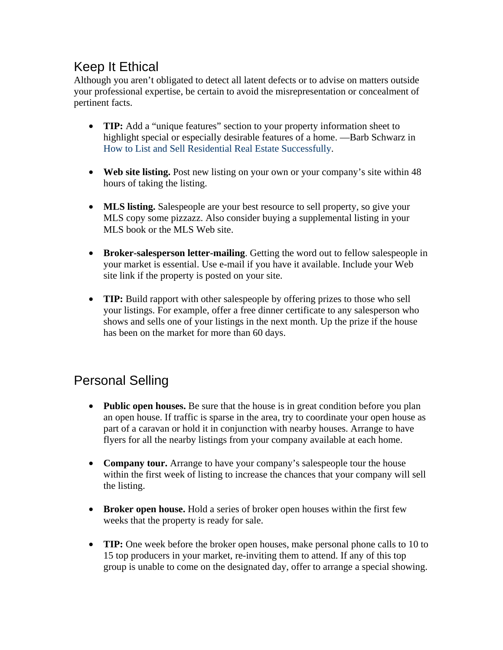## Keep It Ethical

Although you aren't obligated to detect all latent defects or to advise on matters outside your professional expertise, be certain to avoid the misrepresentation or concealment of pertinent facts.

- **TIP:** Add a "unique features" section to your property information sheet to highlight special or especially desirable features of a home. —Barb Schwarz in How to List and Sell Residential Real Estate Successfully.
- **Web site listing.** Post new listing on your own or your company's site within 48 hours of taking the listing.
- **MLS listing.** Salespeople are your best resource to sell property, so give your MLS copy some pizzazz. Also consider buying a supplemental listing in your MLS book or the MLS Web site.
- **Broker-salesperson letter-mailing**. Getting the word out to fellow salespeople in your market is essential. Use e-mail if you have it available. Include your Web site link if the property is posted on your site.
- **TIP:** Build rapport with other salespeople by offering prizes to those who sell your listings. For example, offer a free dinner certificate to any salesperson who shows and sells one of your listings in the next month. Up the prize if the house has been on the market for more than 60 days.

## Personal Selling

- **Public open houses.** Be sure that the house is in great condition before you plan an open house. If traffic is sparse in the area, try to coordinate your open house as part of a caravan or hold it in conjunction with nearby houses. Arrange to have flyers for all the nearby listings from your company available at each home.
- **Company tour.** Arrange to have your company's salespeople tour the house within the first week of listing to increase the chances that your company will sell the listing.
- **Broker open house.** Hold a series of broker open houses within the first few weeks that the property is ready for sale.
- **TIP:** One week before the broker open houses, make personal phone calls to 10 to 15 top producers in your market, re-inviting them to attend. If any of this top group is unable to come on the designated day, offer to arrange a special showing.